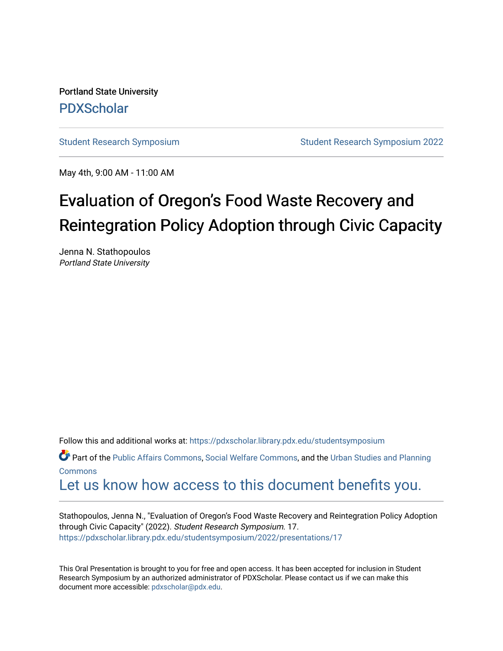Portland State University [PDXScholar](https://pdxscholar.library.pdx.edu/)

[Student Research Symposium](https://pdxscholar.library.pdx.edu/studentsymposium) [Student Research Symposium 2022](https://pdxscholar.library.pdx.edu/studentsymposium/2022) 

May 4th, 9:00 AM - 11:00 AM

# Evaluation of Oregon's Food Waste Recovery and Reintegration Policy Adoption through Civic Capacity

Jenna N. Stathopoulos Portland State University

Follow this and additional works at: [https://pdxscholar.library.pdx.edu/studentsymposium](https://pdxscholar.library.pdx.edu/studentsymposium?utm_source=pdxscholar.library.pdx.edu%2Fstudentsymposium%2F2022%2Fpresentations%2F17&utm_medium=PDF&utm_campaign=PDFCoverPages) 

**P** Part of the [Public Affairs Commons,](http://network.bepress.com/hgg/discipline/399?utm_source=pdxscholar.library.pdx.edu%2Fstudentsymposium%2F2022%2Fpresentations%2F17&utm_medium=PDF&utm_campaign=PDFCoverPages) [Social Welfare Commons](http://network.bepress.com/hgg/discipline/401?utm_source=pdxscholar.library.pdx.edu%2Fstudentsymposium%2F2022%2Fpresentations%2F17&utm_medium=PDF&utm_campaign=PDFCoverPages), and the Urban Studies and Planning [Commons](http://network.bepress.com/hgg/discipline/436?utm_source=pdxscholar.library.pdx.edu%2Fstudentsymposium%2F2022%2Fpresentations%2F17&utm_medium=PDF&utm_campaign=PDFCoverPages)

## [Let us know how access to this document benefits you.](http://library.pdx.edu/services/pdxscholar-services/pdxscholar-feedback/)

Stathopoulos, Jenna N., "Evaluation of Oregon's Food Waste Recovery and Reintegration Policy Adoption through Civic Capacity" (2022). Student Research Symposium. 17. [https://pdxscholar.library.pdx.edu/studentsymposium/2022/presentations/17](https://pdxscholar.library.pdx.edu/studentsymposium/2022/presentations/17?utm_source=pdxscholar.library.pdx.edu%2Fstudentsymposium%2F2022%2Fpresentations%2F17&utm_medium=PDF&utm_campaign=PDFCoverPages) 

This Oral Presentation is brought to you for free and open access. It has been accepted for inclusion in Student Research Symposium by an authorized administrator of PDXScholar. Please contact us if we can make this document more accessible: [pdxscholar@pdx.edu.](mailto:pdxscholar@pdx.edu)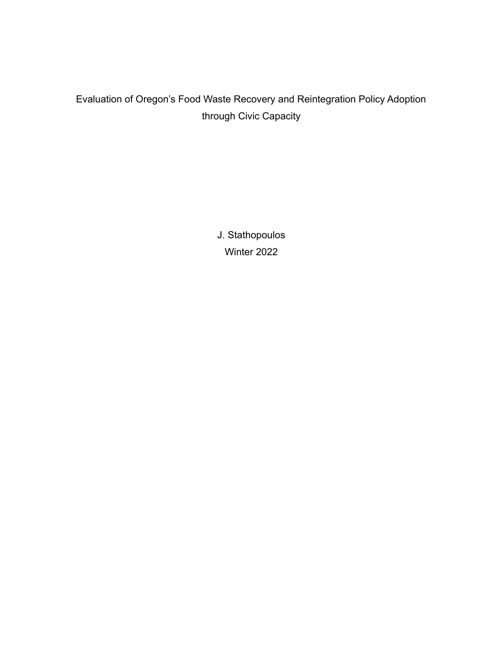### Evaluation of Oregon's Food Waste Recovery and Reintegration Policy Adoption through Civic Capacity

J. Stathopoulos Winter 2022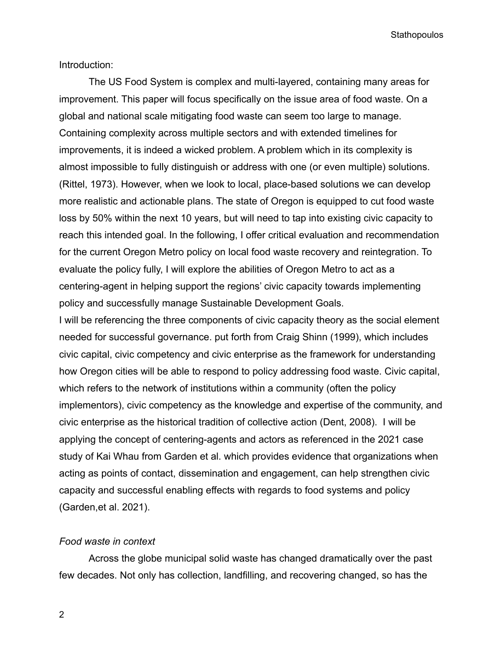Introduction:

The US Food System is complex and multi-layered, containing many areas for improvement. This paper will focus specifically on the issue area of food waste. On a global and national scale mitigating food waste can seem too large to manage. Containing complexity across multiple sectors and with extended timelines for improvements, it is indeed a wicked problem. A problem which in its complexity is almost impossible to fully distinguish or address with one (or even multiple) solutions. (Rittel, 1973). However, when we look to local, place-based solutions we can develop more realistic and actionable plans. The state of Oregon is equipped to cut food waste loss by 50% within the next 10 years, but will need to tap into existing civic capacity to reach this intended goal. In the following, I offer critical evaluation and recommendation for the current Oregon Metro policy on local food waste recovery and reintegration. To evaluate the policy fully, I will explore the abilities of Oregon Metro to act as a centering-agent in helping support the regions' civic capacity towards implementing policy and successfully manage Sustainable Development Goals.

I will be referencing the three components of civic capacity theory as the social element needed for successful governance. put forth from Craig Shinn (1999), which includes civic capital, civic competency and civic enterprise as the framework for understanding how Oregon cities will be able to respond to policy addressing food waste. Civic capital, which refers to the network of institutions within a community (often the policy implementors), civic competency as the knowledge and expertise of the community, and civic enterprise as the historical tradition of collective action (Dent, 2008). I will be applying the concept of centering-agents and actors as referenced in the 2021 case study of Kai Whau from Garden et al. which provides evidence that organizations when acting as points of contact, dissemination and engagement, can help strengthen civic capacity and successful enabling effects with regards to food systems and policy (Garden,et al. 2021).

#### *Food waste in context*

Across the globe municipal solid waste has changed dramatically over the past few decades. Not only has collection, landfilling, and recovering changed, so has the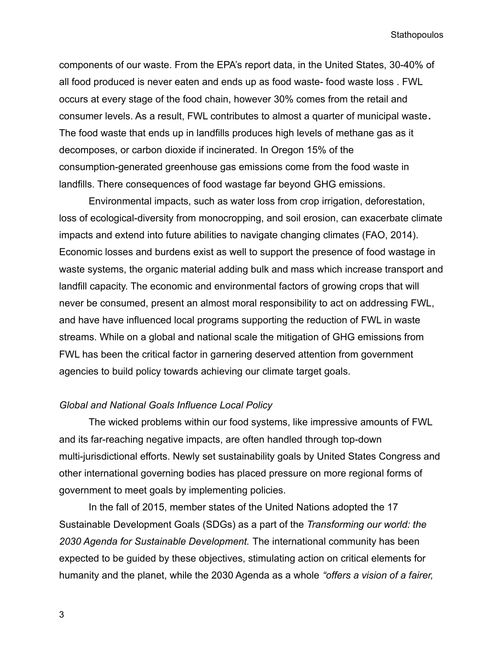components of our waste. From the EPA's report data, in the United States, 30-40% of all food produced is never eaten and ends up as food waste- food waste loss . FWL occurs at every stage of the food chain, however 30% comes from the retail and consumer levels. As a result, FWL contributes to almost a quarter of municipal waste**.** The food waste that ends up in landfills produces high levels of methane gas as it decomposes, or carbon dioxide if incinerated. In Oregon 15% of the consumption-generated greenhouse gas emissions come from the food waste in landfills. There consequences of food wastage far beyond GHG emissions.

Environmental impacts, such as water loss from crop irrigation, deforestation, loss of ecological-diversity from monocropping, and soil erosion, can exacerbate climate impacts and extend into future abilities to navigate changing climates (FAO, 2014). Economic losses and burdens exist as well to support the presence of food wastage in waste systems, the organic material adding bulk and mass which increase transport and landfill capacity. The economic and environmental factors of growing crops that will never be consumed, present an almost moral responsibility to act on addressing FWL, and have have influenced local programs supporting the reduction of FWL in waste streams. While on a global and national scale the mitigation of GHG emissions from FWL has been the critical factor in garnering deserved attention from government agencies to build policy towards achieving our climate target goals.

#### *Global and National Goals Influence Local Policy*

The wicked problems within our food systems, like impressive amounts of FWL and its far-reaching negative impacts, are often handled through top-down multi-jurisdictional efforts. Newly set sustainability goals by United States Congress and other international governing bodies has placed pressure on more regional forms of government to meet goals by implementing policies.

In the fall of 2015, member states of the United Nations adopted the 17 Sustainable Development Goals (SDGs) as a part of the *Transforming our world: the 2030 Agenda for Sustainable Development.* The international community has been expected to be guided by these objectives, stimulating action on critical elements for humanity and the planet, while the 2030 Agenda as a whole *"offers a vision of a fairer,*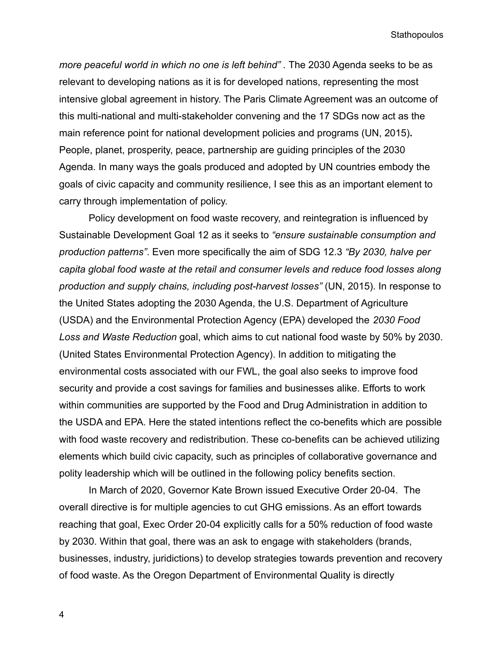*more peaceful world in which no one is left behind" .* The 2030 Agenda seeks to be as relevant to developing nations as it is for developed nations, representing the most intensive global agreement in history. The Paris Climate Agreement was an outcome of this multi-national and multi-stakeholder convening and the 17 SDGs now act as the main reference point for national development policies and programs (UN, 2015)**.** People, planet, prosperity, peace, partnership are guiding principles of the 2030 Agenda. In many ways the goals produced and adopted by UN countries embody the goals of civic capacity and community resilience, I see this as an important element to carry through implementation of policy.

Policy development on food waste recovery, and reintegration is influenced by Sustainable Development Goal 12 as it seeks to *"ensure sustainable consumption and production patterns"*. Even more specifically the aim of SDG 12.3 *"By 2030, halve per capita global food waste at the retail and consumer levels and reduce food losses along production and supply chains, including post-harvest losses"* (UN, 2015). In response to the United States adopting the 2030 Agenda, the U.S. Department of Agriculture (USDA) and the Environmental Protection Agency (EPA) developed the *2030 Food Loss and Waste Reduction* goal, which aims to cut national food waste by 50% by 2030. (United States Environmental Protection Agency). In addition to mitigating the environmental costs associated with our FWL, the goal also seeks to improve food security and provide a cost savings for families and businesses alike. Efforts to work within communities are supported by the Food and Drug Administration in addition to the USDA and EPA. Here the stated intentions reflect the co-benefits which are possible with food waste recovery and redistribution. These co-benefits can be achieved utilizing elements which build civic capacity, such as principles of collaborative governance and polity leadership which will be outlined in the following policy benefits section.

In March of 2020, Governor Kate Brown issued Executive Order 20-04. The overall directive is for multiple agencies to cut GHG emissions. As an effort towards reaching that goal, Exec Order 20-04 explicitly calls for a 50% reduction of food waste by 2030. Within that goal, there was an ask to engage with stakeholders (brands, businesses, industry, juridictions) to develop strategies towards prevention and recovery of food waste. As the Oregon Department of Environmental Quality is directly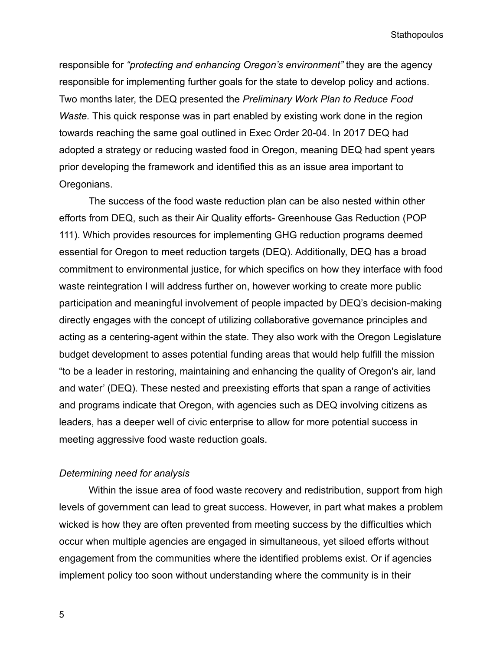responsible for *"protecting and enhancing Oregon's environment"* they are the agency responsible for implementing further goals for the state to develop policy and actions. Two months later, the DEQ presented the *Preliminary Work Plan to Reduce Food Waste.* This quick response was in part enabled by existing work done in the region towards reaching the same goal outlined in Exec Order 20-04. In 2017 DEQ had adopted a strategy or reducing wasted food in Oregon, meaning DEQ had spent years prior developing the framework and identified this as an issue area important to Oregonians.

The success of the food waste reduction plan can be also nested within other efforts from DEQ, such as their Air Quality efforts- Greenhouse Gas Reduction (POP 111). Which provides resources for implementing GHG reduction programs deemed essential for Oregon to meet reduction targets (DEQ). Additionally, DEQ has a broad commitment to environmental justice, for which specifics on how they interface with food waste reintegration I will address further on, however working to create more public participation and meaningful involvement of people impacted by DEQ's decision-making directly engages with the concept of utilizing collaborative governance principles and acting as a centering-agent within the state. They also work with the Oregon Legislature budget development to asses potential funding areas that would help fulfill the mission "to be a leader in restoring, maintaining and enhancing the quality of Oregon's air, land and water' (DEQ). These nested and preexisting efforts that span a range of activities and programs indicate that Oregon, with agencies such as DEQ involving citizens as leaders, has a deeper well of civic enterprise to allow for more potential success in meeting aggressive food waste reduction goals.

#### *Determining need for analysis*

Within the issue area of food waste recovery and redistribution, support from high levels of government can lead to great success. However, in part what makes a problem wicked is how they are often prevented from meeting success by the difficulties which occur when multiple agencies are engaged in simultaneous, yet siloed efforts without engagement from the communities where the identified problems exist. Or if agencies implement policy too soon without understanding where the community is in their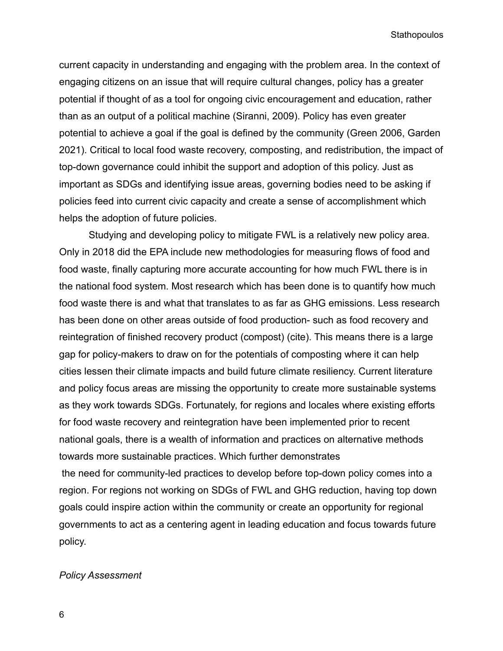current capacity in understanding and engaging with the problem area. In the context of engaging citizens on an issue that will require cultural changes, policy has a greater potential if thought of as a tool for ongoing civic encouragement and education, rather than as an output of a political machine (Siranni, 2009). Policy has even greater potential to achieve a goal if the goal is defined by the community (Green 2006, Garden 2021). Critical to local food waste recovery, composting, and redistribution, the impact of top-down governance could inhibit the support and adoption of this policy. Just as important as SDGs and identifying issue areas, governing bodies need to be asking if policies feed into current civic capacity and create a sense of accomplishment which helps the adoption of future policies.

Studying and developing policy to mitigate FWL is a relatively new policy area. Only in 2018 did the EPA include new methodologies for measuring flows of food and food waste, finally capturing more accurate accounting for how much FWL there is in the national food system. Most research which has been done is to quantify how much food waste there is and what that translates to as far as GHG emissions. Less research has been done on other areas outside of food production- such as food recovery and reintegration of finished recovery product (compost) (cite). This means there is a large gap for policy-makers to draw on for the potentials of composting where it can help cities lessen their climate impacts and build future climate resiliency. Current literature and policy focus areas are missing the opportunity to create more sustainable systems as they work towards SDGs. Fortunately, for regions and locales where existing efforts for food waste recovery and reintegration have been implemented prior to recent national goals, there is a wealth of information and practices on alternative methods towards more sustainable practices. Which further demonstrates the need for community-led practices to develop before top-down policy comes into a region. For regions not working on SDGs of FWL and GHG reduction, having top down goals could inspire action within the community or create an opportunity for regional governments to act as a centering agent in leading education and focus towards future policy.

#### *Policy Assessment*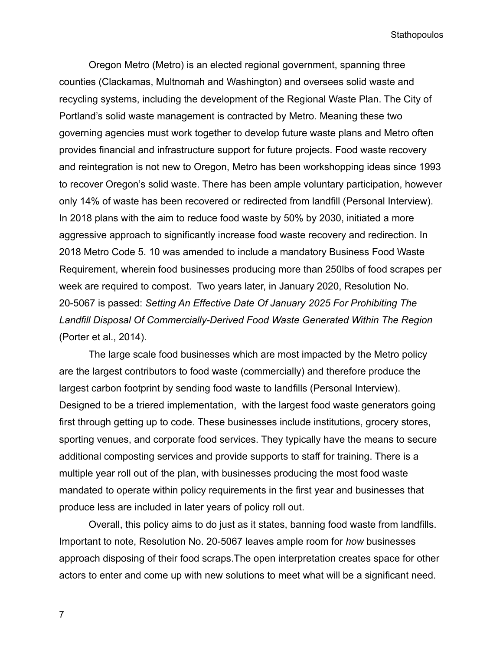Oregon Metro (Metro) is an elected regional government, spanning three counties (Clackamas, Multnomah and Washington) and oversees solid waste and recycling systems, including the development of the Regional Waste Plan. The City of Portland's solid waste management is contracted by Metro. Meaning these two governing agencies must work together to develop future waste plans and Metro often provides financial and infrastructure support for future projects. Food waste recovery and reintegration is not new to Oregon, Metro has been workshopping ideas since 1993 to recover Oregon's solid waste. There has been ample voluntary participation, however only 14% of waste has been recovered or redirected from landfill (Personal Interview). In 2018 plans with the aim to reduce food waste by 50% by 2030, initiated a more aggressive approach to significantly increase food waste recovery and redirection. In 2018 Metro Code 5. 10 was amended to include a mandatory Business Food Waste Requirement, wherein food businesses producing more than 250lbs of food scrapes per week are required to compost. Two years later, in January 2020, Resolution No. 20-5067 is passed: *Setting An Effective Date Of January 2025 For Prohibiting The Landfill Disposal Of Commercially-Derived Food Waste Generated Within The Region* (Porter et al., 2014).

The large scale food businesses which are most impacted by the Metro policy are the largest contributors to food waste (commercially) and therefore produce the largest carbon footprint by sending food waste to landfills (Personal Interview). Designed to be a triered implementation, with the largest food waste generators going first through getting up to code. These businesses include institutions, grocery stores, sporting venues, and corporate food services. They typically have the means to secure additional composting services and provide supports to staff for training. There is a multiple year roll out of the plan, with businesses producing the most food waste mandated to operate within policy requirements in the first year and businesses that produce less are included in later years of policy roll out.

Overall, this policy aims to do just as it states, banning food waste from landfills. Important to note, Resolution No. 20-5067 leaves ample room for *how* businesses approach disposing of their food scraps.The open interpretation creates space for other actors to enter and come up with new solutions to meet what will be a significant need.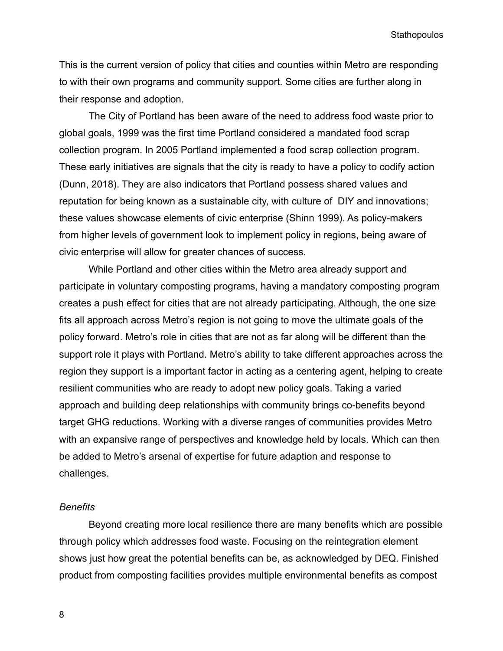This is the current version of policy that cities and counties within Metro are responding to with their own programs and community support. Some cities are further along in their response and adoption.

The City of Portland has been aware of the need to address food waste prior to global goals, 1999 was the first time Portland considered a mandated food scrap collection program. In 2005 Portland implemented a food scrap collection program. These early initiatives are signals that the city is ready to have a policy to codify action (Dunn, 2018). They are also indicators that Portland possess shared values and reputation for being known as a sustainable city, with culture of DIY and innovations; these values showcase elements of civic enterprise (Shinn 1999). As policy-makers from higher levels of government look to implement policy in regions, being aware of civic enterprise will allow for greater chances of success.

While Portland and other cities within the Metro area already support and participate in voluntary composting programs, having a mandatory composting program creates a push effect for cities that are not already participating. Although, the one size fits all approach across Metro's region is not going to move the ultimate goals of the policy forward. Metro's role in cities that are not as far along will be different than the support role it plays with Portland. Metro's ability to take different approaches across the region they support is a important factor in acting as a centering agent, helping to create resilient communities who are ready to adopt new policy goals. Taking a varied approach and building deep relationships with community brings co-benefits beyond target GHG reductions. Working with a diverse ranges of communities provides Metro with an expansive range of perspectives and knowledge held by locals. Which can then be added to Metro's arsenal of expertise for future adaption and response to challenges.

#### *Benefits*

Beyond creating more local resilience there are many benefits which are possible through policy which addresses food waste. Focusing on the reintegration element shows just how great the potential benefits can be, as acknowledged by DEQ. Finished product from composting facilities provides multiple environmental benefits as compost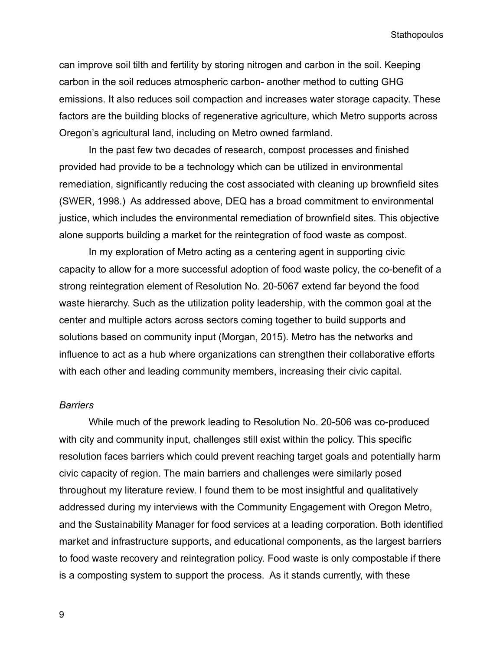can improve soil tilth and fertility by storing nitrogen and carbon in the soil. Keeping carbon in the soil reduces atmospheric carbon- another method to cutting GHG emissions. It also reduces soil compaction and increases water storage capacity. These factors are the building blocks of regenerative agriculture, which Metro supports across Oregon's agricultural land, including on Metro owned farmland.

In the past few two decades of research, compost processes and finished provided had provide to be a technology which can be utilized in environmental remediation, significantly reducing the cost associated with cleaning up brownfield sites (SWER, 1998.) As addressed above, DEQ has a broad commitment to environmental justice, which includes the environmental remediation of brownfield sites. This objective alone supports building a market for the reintegration of food waste as compost.

In my exploration of Metro acting as a centering agent in supporting civic capacity to allow for a more successful adoption of food waste policy, the co-benefit of a strong reintegration element of Resolution No. 20-5067 extend far beyond the food waste hierarchy. Such as the utilization polity leadership, with the common goal at the center and multiple actors across sectors coming together to build supports and solutions based on community input (Morgan, 2015). Metro has the networks and influence to act as a hub where organizations can strengthen their collaborative efforts with each other and leading community members, increasing their civic capital.

#### *Barriers*

While much of the prework leading to Resolution No. 20-506 was co-produced with city and community input, challenges still exist within the policy. This specific resolution faces barriers which could prevent reaching target goals and potentially harm civic capacity of region. The main barriers and challenges were similarly posed throughout my literature review. I found them to be most insightful and qualitatively addressed during my interviews with the Community Engagement with Oregon Metro, and the Sustainability Manager for food services at a leading corporation. Both identified market and infrastructure supports, and educational components, as the largest barriers to food waste recovery and reintegration policy. Food waste is only compostable if there is a composting system to support the process. As it stands currently, with these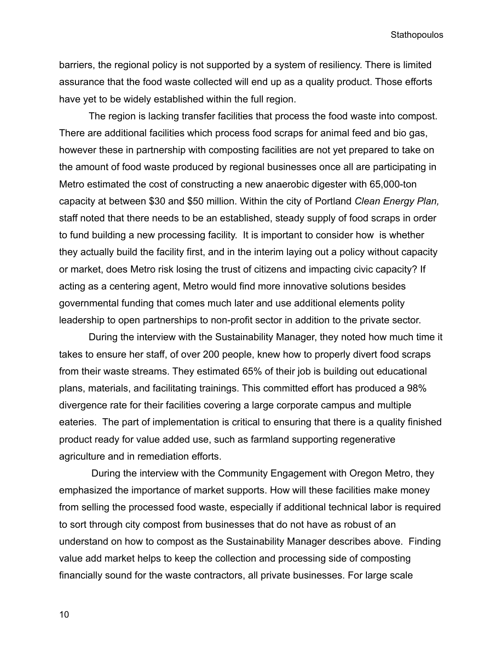barriers, the regional policy is not supported by a system of resiliency. There is limited assurance that the food waste collected will end up as a quality product. Those efforts have yet to be widely established within the full region.

The region is lacking transfer facilities that process the food waste into compost. There are additional facilities which process food scraps for animal feed and bio gas, however these in partnership with composting facilities are not yet prepared to take on the amount of food waste produced by regional businesses once all are participating in Metro estimated the cost of constructing a new anaerobic digester with 65,000-ton capacity at between \$30 and \$50 million. Within the city of Portland *Clean Energy Plan,* staff noted that there needs to be an established, steady supply of food scraps in order to fund building a new processing facility. It is important to consider how is whether they actually build the facility first, and in the interim laying out a policy without capacity or market, does Metro risk losing the trust of citizens and impacting civic capacity? If acting as a centering agent, Metro would find more innovative solutions besides governmental funding that comes much later and use additional elements polity leadership to open partnerships to non-profit sector in addition to the private sector.

During the interview with the Sustainability Manager, they noted how much time it takes to ensure her staff, of over 200 people, knew how to properly divert food scraps from their waste streams. They estimated 65% of their job is building out educational plans, materials, and facilitating trainings. This committed effort has produced a 98% divergence rate for their facilities covering a large corporate campus and multiple eateries. The part of implementation is critical to ensuring that there is a quality finished product ready for value added use, such as farmland supporting regenerative agriculture and in remediation efforts.

During the interview with the Community Engagement with Oregon Metro, they emphasized the importance of market supports. How will these facilities make money from selling the processed food waste, especially if additional technical labor is required to sort through city compost from businesses that do not have as robust of an understand on how to compost as the Sustainability Manager describes above. Finding value add market helps to keep the collection and processing side of composting financially sound for the waste contractors, all private businesses. For large scale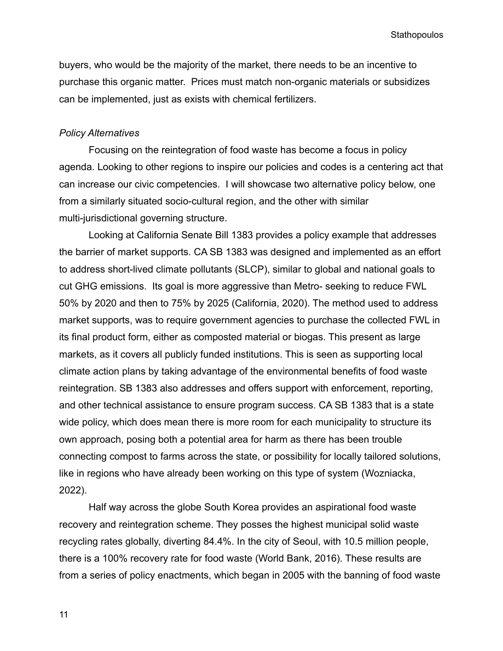buyers, who would be the majority of the market, there needs to be an incentive to purchase this organic matter. Prices must match non-organic materials or subsidizes can be implemented, just as exists with chemical fertilizers.

#### *Policy Alternatives*

Focusing on the reintegration of food waste has become a focus in policy agenda. Looking to other regions to inspire our policies and codes is a centering act that can increase our civic competencies. I will showcase two alternative policy below, one from a similarly situated socio-cultural region, and the other with similar multi-jurisdictional governing structure.

Looking at California Senate Bill 1383 provides a policy example that addresses the barrier of market supports. CA SB 1383 was designed and implemented as an effort to address short-lived climate pollutants (SLCP), similar to global and national goals to cut GHG emissions. Its goal is more aggressive than Metro- seeking to reduce FWL 50% by 2020 and then to 75% by 2025 (California, 2020). The method used to address market supports, was to require government agencies to purchase the collected FWL in its final product form, either as composted material or biogas. This present as large markets, as it covers all publicly funded institutions. This is seen as supporting local climate action plans by taking advantage of the environmental benefits of food waste reintegration. SB 1383 also addresses and offers support with enforcement, reporting, and other technical assistance to ensure program success. CA SB 1383 that is a state wide policy, which does mean there is more room for each municipality to structure its own approach, posing both a potential area for harm as there has been trouble connecting compost to farms across the state, or possibility for locally tailored solutions, like in regions who have already been working on this type of system (Wozniacka, 2022).

Half way across the globe South Korea provides an aspirational food waste recovery and reintegration scheme. They posses the highest municipal solid waste recycling rates globally, diverting 84.4%. In the city of Seoul, with 10.5 million people, there is a 100% recovery rate for food waste (World Bank, 2016). These results are from a series of policy enactments, which began in 2005 with the banning of food waste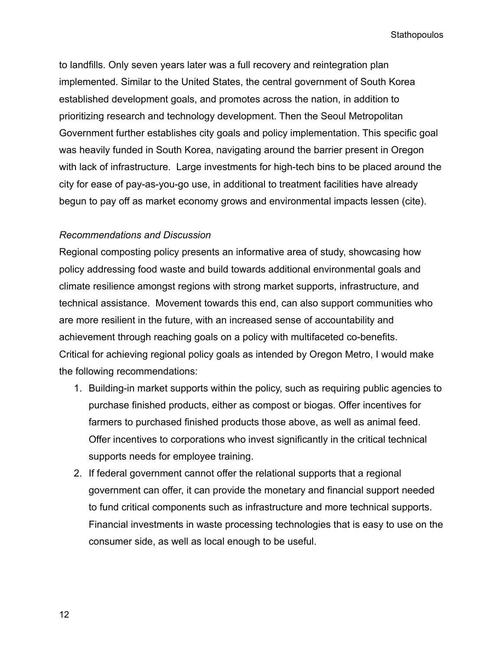to landfills. Only seven years later was a full recovery and reintegration plan implemented. Similar to the United States, the central government of South Korea established development goals, and promotes across the nation, in addition to prioritizing research and technology development. Then the Seoul Metropolitan Government further establishes city goals and policy implementation. This specific goal was heavily funded in South Korea, navigating around the barrier present in Oregon with lack of infrastructure. Large investments for high-tech bins to be placed around the city for ease of pay-as-you-go use, in additional to treatment facilities have already begun to pay off as market economy grows and environmental impacts lessen (cite).

### *Recommendations and Discussion*

Regional composting policy presents an informative area of study, showcasing how policy addressing food waste and build towards additional environmental goals and climate resilience amongst regions with strong market supports, infrastructure, and technical assistance. Movement towards this end, can also support communities who are more resilient in the future, with an increased sense of accountability and achievement through reaching goals on a policy with multifaceted co-benefits. Critical for achieving regional policy goals as intended by Oregon Metro, I would make the following recommendations:

- 1. Building-in market supports within the policy, such as requiring public agencies to purchase finished products, either as compost or biogas. Offer incentives for farmers to purchased finished products those above, as well as animal feed. Offer incentives to corporations who invest significantly in the critical technical supports needs for employee training.
- 2. If federal government cannot offer the relational supports that a regional government can offer, it can provide the monetary and financial support needed to fund critical components such as infrastructure and more technical supports. Financial investments in waste processing technologies that is easy to use on the consumer side, as well as local enough to be useful.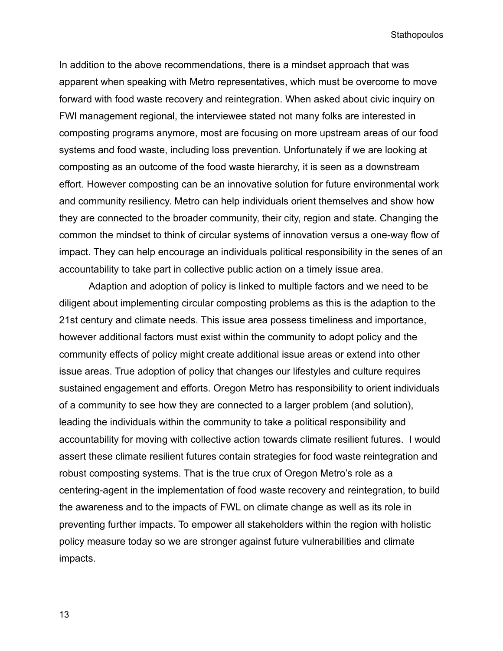In addition to the above recommendations, there is a mindset approach that was apparent when speaking with Metro representatives, which must be overcome to move forward with food waste recovery and reintegration. When asked about civic inquiry on FWl management regional, the interviewee stated not many folks are interested in composting programs anymore, most are focusing on more upstream areas of our food systems and food waste, including loss prevention. Unfortunately if we are looking at composting as an outcome of the food waste hierarchy, it is seen as a downstream effort. However composting can be an innovative solution for future environmental work and community resiliency. Metro can help individuals orient themselves and show how they are connected to the broader community, their city, region and state. Changing the common the mindset to think of circular systems of innovation versus a one-way flow of impact. They can help encourage an individuals political responsibility in the senes of an accountability to take part in collective public action on a timely issue area.

Adaption and adoption of policy is linked to multiple factors and we need to be diligent about implementing circular composting problems as this is the adaption to the 21st century and climate needs. This issue area possess timeliness and importance, however additional factors must exist within the community to adopt policy and the community effects of policy might create additional issue areas or extend into other issue areas. True adoption of policy that changes our lifestyles and culture requires sustained engagement and efforts. Oregon Metro has responsibility to orient individuals of a community to see how they are connected to a larger problem (and solution), leading the individuals within the community to take a political responsibility and accountability for moving with collective action towards climate resilient futures. I would assert these climate resilient futures contain strategies for food waste reintegration and robust composting systems. That is the true crux of Oregon Metro's role as a centering-agent in the implementation of food waste recovery and reintegration, to build the awareness and to the impacts of FWL on climate change as well as its role in preventing further impacts. To empower all stakeholders within the region with holistic policy measure today so we are stronger against future vulnerabilities and climate impacts.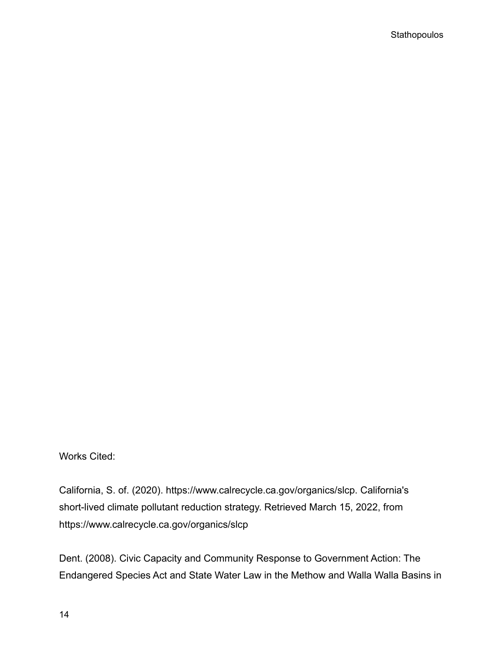Works Cited:

California, S. of. (2020). https://www.calrecycle.ca.gov/organics/slcp. California's short-lived climate pollutant reduction strategy. Retrieved March 15, 2022, from https://www.calrecycle.ca.gov/organics/slcp

Dent. (2008). Civic Capacity and Community Response to Government Action: The Endangered Species Act and State Water Law in the Methow and Walla Walla Basins in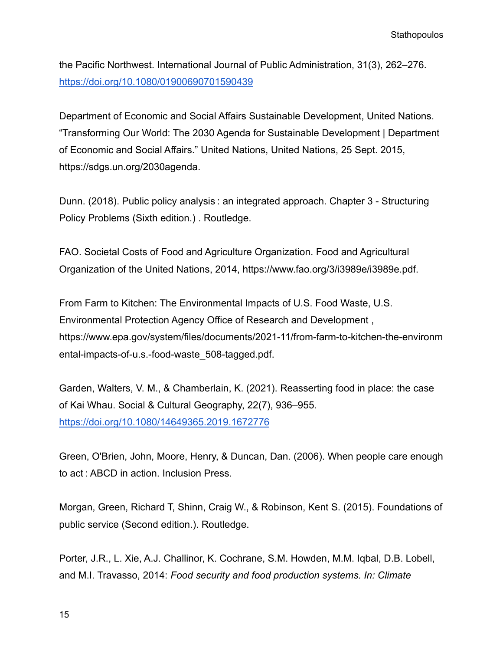the Pacific Northwest. International Journal of Public Administration, 31(3), 262–276. <https://doi.org/10.1080/01900690701590439>

Department of Economic and Social Affairs Sustainable Development, United Nations. "Transforming Our World: The 2030 Agenda for Sustainable Development | Department of Economic and Social Affairs." United Nations, United Nations, 25 Sept. 2015, https://sdgs.un.org/2030agenda.

Dunn. (2018). Public policy analysis : an integrated approach. Chapter 3 - Structuring Policy Problems (Sixth edition.) . Routledge.

FAO. Societal Costs of Food and Agriculture Organization. Food and Agricultural Organization of the United Nations, 2014, https://www.fao.org/3/i3989e/i3989e.pdf.

From Farm to Kitchen: The Environmental Impacts of U.S. Food Waste, U.S. Environmental Protection Agency Office of Research and Development , https://www.epa.gov/system/files/documents/2021-11/from-farm-to-kitchen-the-environm ental-impacts-of-u.s.-food-waste\_508-tagged.pdf.

Garden, Walters, V. M., & Chamberlain, K. (2021). Reasserting food in place: the case of Kai Whau. Social & Cultural Geography, 22(7), 936–955. <https://doi.org/10.1080/14649365.2019.1672776>

Green, O'Brien, John, Moore, Henry, & Duncan, Dan. (2006). When people care enough to act : ABCD in action. Inclusion Press.

Morgan, Green, Richard T, Shinn, Craig W., & Robinson, Kent S. (2015). Foundations of public service (Second edition.). Routledge.

Porter, J.R., L. Xie, A.J. Challinor, K. Cochrane, S.M. Howden, M.M. Iqbal, D.B. Lobell, and M.I. Travasso, 2014: *Food security and food production systems. In: Climate*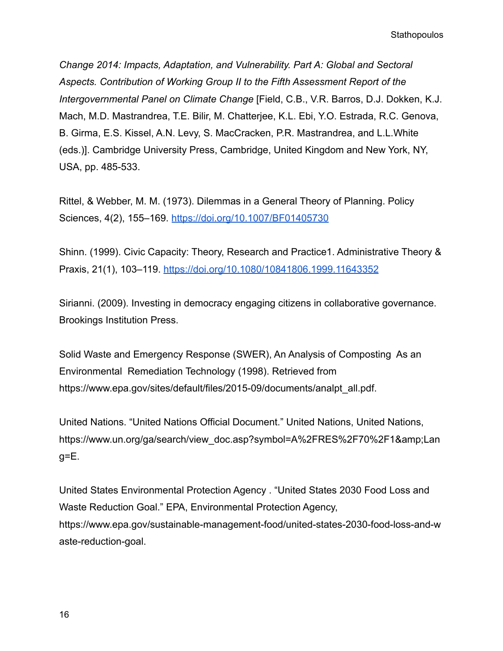*Change 2014: Impacts, Adaptation, and Vulnerability. Part A: Global and Sectoral Aspects. Contribution of Working Group II to the Fifth Assessment Report of the Intergovernmental Panel on Climate Change* [Field, C.B., V.R. Barros, D.J. Dokken, K.J. Mach, M.D. Mastrandrea, T.E. Bilir, M. Chatterjee, K.L. Ebi, Y.O. Estrada, R.C. Genova, B. Girma, E.S. Kissel, A.N. Levy, S. MacCracken, P.R. Mastrandrea, and L.L.White (eds.)]. Cambridge University Press, Cambridge, United Kingdom and New York, NY, USA, pp. 485-533.

Rittel, & Webber, M. M. (1973). Dilemmas in a General Theory of Planning. Policy Sciences, 4(2), 155–169. <https://doi.org/10.1007/BF01405730>

Shinn. (1999). Civic Capacity: Theory, Research and Practice1. Administrative Theory & Praxis, 21(1), 103–119. <https://doi.org/10.1080/10841806.1999.11643352>

Sirianni. (2009). Investing in democracy engaging citizens in collaborative governance. Brookings Institution Press.

Solid Waste and Emergency Response (SWER), An Analysis of Composting As an Environmental Remediation Technology (1998). Retrieved from https://www.epa.gov/sites/default/files/2015-09/documents/analpt\_all.pdf.

United Nations. "United Nations Official Document." United Nations, United Nations, https://www.un.org/ga/search/view\_doc.asp?symbol=A%2FRES%2F70%2F1&Lan  $g=E$ .

United States Environmental Protection Agency . "United States 2030 Food Loss and Waste Reduction Goal." EPA, Environmental Protection Agency, https://www.epa.gov/sustainable-management-food/united-states-2030-food-loss-and-w aste-reduction-goal.